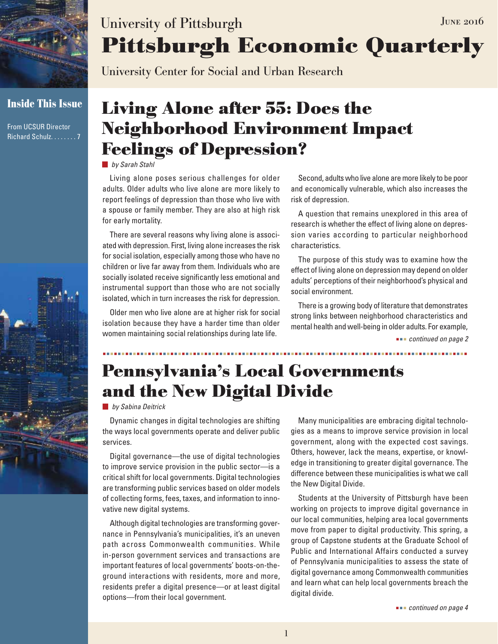

**Inside This Issue**

From UCSUR Director Richard Schulz........7



# **Pittsburgh Economic Quarterly** University of Pittsburgh JUNE 2016

University Center for Social and Urban Research

# **Living Alone after 55: Does the Neighborhood Environment Impact Feelings of Depression?**

*by Sarah Stahl*

Living alone poses serious challenges for older adults. Older adults who live alone are more likely to report feelings of depression than those who live with a spouse or family member. They are also at high risk for early mortality.

There are several reasons why living alone is associated with depression. First, living alone increases the risk for social isolation, especially among those who have no children or live far away from them. Individuals who are socially isolated receive significantly less emotional and instrumental support than those who are not socially isolated, which in turn increases the risk for depression.

Older men who live alone are at higher risk for social isolation because they have a harder time than older women maintaining social relationships during late life.

Second, adults who live alone are more likely to be poor and economically vulnerable, which also increases the risk of depression.

A question that remains unexplored in this area of research is whether the effect of living alone on depression varies according to particular neighborhood characteristics.

The purpose of this study was to examine how the effect of living alone on depression may depend on older adults' perceptions of their neighborhood's physical and social environment.

There is a growing body of literature that demonstrates strong links between neighborhood characteristics and mental health and well-being in older adults. For example,

 *continued on page 2*

### **Pennsylvania's Local Governments and the New Digital Divide**

#### *by Sabina Deitrick*

Dynamic changes in digital technologies are shifting the ways local governments operate and deliver public services.

Digital governance—the use of digital technologies to improve service provision in the public sector—is a critical shift for local governments. Digital technologies are transforming public services based on older models of collecting forms, fees, taxes, and information to innovative new digital systems.

Although digital technologies are transforming governance in Pennsylvania's municipalities, it's an uneven path across Commonwealth communities. While in-person government services and transactions are important features of local governments' boots-on-theground interactions with residents, more and more, residents prefer a digital presence—or at least digital options—from their local government.

Many municipalities are embracing digital technologies as a means to improve service provision in local government, along with the expected cost savings. Others, however, lack the means, expertise, or knowledge in transitioning to greater digital governance. The difference between these municipalities is what we call the New Digital Divide.

Students at the University of Pittsburgh have been working on projects to improve digital governance in our local communities, helping area local governments move from paper to digital productivity. This spring, a group of Capstone students at the Graduate School of Public and International Affairs conducted a survey of Pennsylvania municipalities to assess the state of digital governance among Commonwealth communities and learn what can help local governments breach the digital divide.

 *continued on page 4*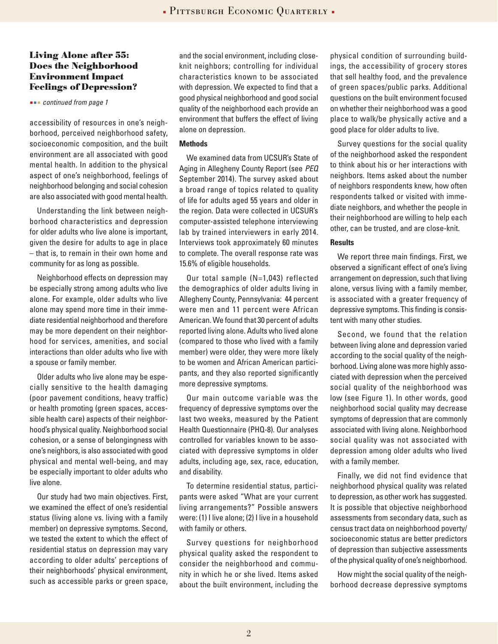#### **Living Alone after 55: Does the Neighborhood Environment Impact Feelings of Depression?**

 *continued from page 1*

accessibility of resources in one's neighborhood, perceived neighborhood safety, socioeconomic composition, and the built environment are all associated with good mental health. In addition to the physical aspect of one's neighborhood, feelings of neighborhood belonging and social cohesion are also associated with good mental health.

Understanding the link between neighborhood characteristics and depression for older adults who live alone is important, given the desire for adults to age in place – that is, to remain in their own home and community for as long as possible.

Neighborhood effects on depression may be especially strong among adults who live alone. For example, older adults who live alone may spend more time in their immediate residential neighborhood and therefore may be more dependent on their neighborhood for services, amenities, and social interactions than older adults who live with a spouse or family member.

Older adults who live alone may be especially sensitive to the health damaging (poor pavement conditions, heavy traffic) or health promoting (green spaces, accessible health care) aspects of their neighborhood's physical quality. Neighborhood social cohesion, or a sense of belongingness with one's neighbors, is also associated with good physical and mental well-being, and may be especially important to older adults who live alone.

Our study had two main objectives. First, we examined the effect of one's residential status (living alone vs. living with a family member) on depressive symptoms. Second, we tested the extent to which the effect of residential status on depression may vary according to older adults' perceptions of their neighborhoods' physical environment, such as accessible parks or green space,

and the social environment, including closeknit neighbors; controlling for individual characteristics known to be associated with depression. We expected to find that a good physical neighborhood and good social quality of the neighborhood each provide an environment that buffers the effect of living alone on depression.

#### **Methods**

We examined data from UCSUR's State of Aging in Allegheny County Report (see *PEQ* September 2014). The survey asked about a broad range of topics related to quality of life for adults aged 55 years and older in the region. Data were collected in UCSUR's computer-assisted telephone interviewing lab by trained interviewers in early 2014. Interviews took approximately 60 minutes to complete. The overall response rate was 15.6% of eligible households.

Our total sample (N=1,043) reflected the demographics of older adults living in Allegheny County, Pennsylvania: 44 percent were men and 11 percent were African American. We found that 30 percent of adults reported living alone. Adults who lived alone (compared to those who lived with a family member) were older, they were more likely to be women and African American participants, and they also reported significantly more depressive symptoms.

Our main outcome variable was the frequency of depressive symptoms over the last two weeks, measured by the Patient Health Questionnaire (PHQ-8). Our analyses controlled for variables known to be associated with depressive symptoms in older adults, including age, sex, race, education, and disability.

To determine residential status, participants were asked "What are your current living arrangements?" Possible answers were: (1) I live alone; (2) I live in a household with family or others.

Survey questions for neighborhood physical quality asked the respondent to consider the neighborhood and community in which he or she lived. Items asked about the built environment, including the

physical condition of surrounding buildings, the accessibility of grocery stores that sell healthy food, and the prevalence of green spaces/public parks. Additional questions on the built environment focused on whether their neighborhood was a good place to walk/be physically active and a good place for older adults to live.

Survey questions for the social quality of the neighborhood asked the respondent to think about his or her interactions with neighbors. Items asked about the number of neighbors respondents knew, how often respondents talked or visited with immediate neighbors, and whether the people in their neighborhood are willing to help each other, can be trusted, and are close-knit.

#### **Results**

We report three main findings. First, we observed a significant effect of one's living arrangement on depression, such that living alone, versus living with a family member, is associated with a greater frequency of depressive symptoms. This finding is consistent with many other studies.

Second, we found that the relation between living alone and depression varied according to the social quality of the neighborhood. Living alone was more highly associated with depression when the perceived social quality of the neighborhood was low (see Figure 1). In other words, good neighborhood social quality may decrease symptoms of depression that are commonly associated with living alone. Neighborhood social quality was not associated with depression among older adults who lived with a family member.

Finally, we did not find evidence that neighborhood physical quality was related to depression, as other work has suggested. It is possible that objective neighborhood assessments from secondary data, such as census tract data on neighborhood poverty/ socioeconomic status are better predictors of depression than subjective assessments of the physical quality of one's neighborhood.

How might the social quality of the neighborhood decrease depressive symptoms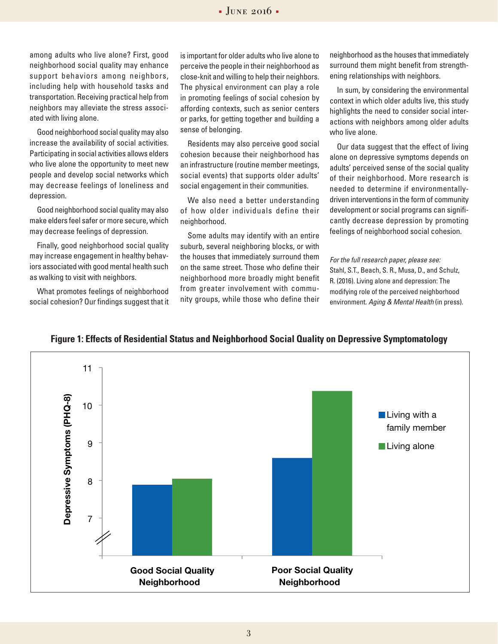among adults who live alone? First, good neighborhood social quality may enhance support behaviors among neighbors, including help with household tasks and transportation. Receiving practical help from neighbors may alleviate the stress associated with living alone.

Good neighborhood social quality may also increase the availability of social activities. Participating in social activities allows elders who live alone the opportunity to meet new people and develop social networks which may decrease feelings of loneliness and depression.

Good neighborhood social quality may also make elders feel safer or more secure, which may decrease feelings of depression.

Finally, good neighborhood social quality may increase engagement in healthy behaviors associated with good mental health such as walking to visit with neighbors.

What promotes feelings of neighborhood social cohesion? Our findings suggest that it is important for older adults who live alone to perceive the people in their neighborhood as close-knit and willing to help their neighbors. The physical environment can play a role in promoting feelings of social cohesion by affording contexts, such as senior centers or parks, for getting together and building a sense of belonging.

Residents may also perceive good social cohesion because their neighborhood has an infrastructure (routine member meetings, social events) that supports older adults' social engagement in their communities.

We also need a better understanding of how older individuals define their neighborhood.

Some adults may identify with an entire suburb, several neighboring blocks, or with the houses that immediately surround them on the same street. Those who define their neighborhood more broadly might benefit from greater involvement with community groups, while those who define their

neighborhood as the houses that immediately surround them might benefit from strengthening relationships with neighbors.

In sum, by considering the environmental context in which older adults live, this study highlights the need to consider social interactions with neighbors among older adults who live alone.

Our data suggest that the effect of living alone on depressive symptoms depends on adults' perceived sense of the social quality of their neighborhood. More research is needed to determine if environmentallydriven interventions in the form of community development or social programs can significantly decrease depression by promoting feelings of neighborhood social cohesion.

*For the full research paper, please see:* Stahl, S.T., Beach, S. R., Musa, D., and Schulz, R. (2016). Living alone and depression: The modifying role of the perceived neighborhood environment. *Aging & Mental Health* (in press).



#### **Figure 1: Effects of Residential Status and Neighborhood Social Quality on Depressive Symptomatology**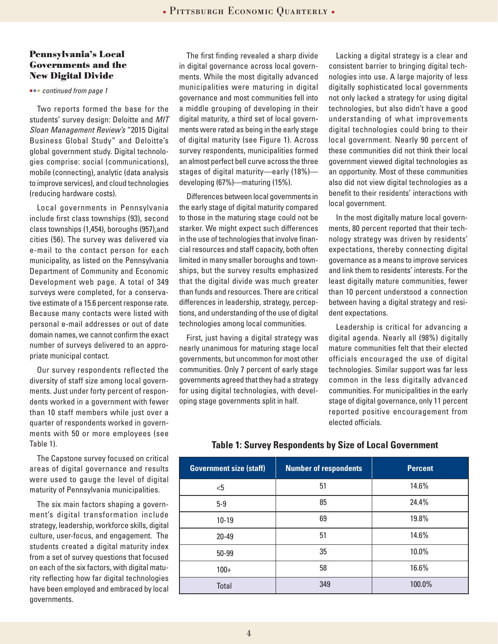#### **Pennsylvania's Local Governments and the New Digital Divide**

 *continued from page 1*

Two reports formed the base for the students' survey design: Deloitte and *MIT Sloan Management Review's* "2015 Digital Business Global Study" and Deloitte's global government study. Digital technologies comprise: social (communications), mobile (connecting), analytic (data analysis to improve services), and cloud technologies (reducing hardware costs).

Local governments in Pennsylvania include first class townships (93), second class townships (1,454), boroughs (957),and cities (56). The survey was delivered via e-mail to the contact person for each municipality, as listed on the Pennsylvania Department of Community and Economic Development web page. A total of 349 surveys were completed, for a conservative estimate of a 15.6 percent response rate. Because many contacts were listed with personal e-mail addresses or out of date domain names, we cannot confirm the exact number of surveys delivered to an appropriate municipal contact.

Our survey respondents reflected the diversity of staff size among local governments. Just under forty percent of respondents worked in a government with fewer than 10 staff members while just over a quarter of respondents worked in governments with 50 or more employees (see Table 1).

The Capstone survey focused on critical areas of digital governance and results were used to gauge the level of digital maturity of Pennsylvania municipalities.

The six main factors shaping a government's digital transformation include strategy, leadership, workforce skills, digital culture, user-focus, and engagement. The students created a digital maturity index from a set of survey questions that focused on each of the six factors, with digital maturity reflecting how far digital technologies have been employed and embraced by local governments.

The first finding revealed a sharp divide in digital governance across local governments. While the most digitally advanced municipalities were maturing in digital governance and most communities fell into a middle grouping of developing in their digital maturity, a third set of local governments were rated as being in the early stage of digital maturity (see Figure 1). Across survey respondents, municipalities formed an almost perfect bell curve across the three stages of digital maturity—early (18%) developing (67%)—maturing (15%).

Differences between local governments in the early stage of digital maturity compared to those in the maturing stage could not be starker. We might expect such differences in the use of technologies that involve financial resources and staff capacity, both often limited in many smaller boroughs and townships, but the survey results emphasized that the digital divide was much greater than funds and resources. There are critical differences in leadership, strategy, perceptions, and understanding of the use of digital technologies among local communities.

First, just having a digital strategy was nearly unanimous for maturing stage local governments, but uncommon for most other communities. Only 7 percent of early stage governments agreed that they had a strategy for using digital technologies, with developing stage governments split in half.

Lacking a digital strategy is a clear and consistent barrier to bringing digital technologies into use. A large majority of less digitally sophisticated local governments not only lacked a strategy for using digital technologies, but also didn't have a good understanding of what improvements digital technologies could bring to their local government. Nearly 90 percent of these communities did not think their local government viewed digital technologies as an opportunity. Most of these communities also did not view digital technologies as a benefit to their residents' interactions with local government.

In the most digitally mature local governments, 80 percent reported that their technology strategy was driven by residents' expectations, thereby connecting digital governance as a means to improve services and link them to residents' interests. For the least digitally mature communities, fewer than 10 percent understood a connection between having a digital strategy and resident expectations.

Leadership is critical for advancing a digital agenda. Nearly all (98%) digitally mature communities felt that their elected officials encouraged the use of digital technologies. Similar support was far less common in the less digitally advanced communities. For municipalities in the early stage of digital governance, only 11 percent reported positive encouragement from elected officials.

| <b>Government size (staff)</b> | <b>Number of respondents</b> | <b>Percent</b> |
|--------------------------------|------------------------------|----------------|
| $5$                            | 51                           | 14.6%          |
| $5-9$                          | 85                           | 24.4%          |
| $10-19$                        | 69                           | 19.8%          |
| $20 - 49$                      | 51                           | 14.6%          |
| 50-99                          | 35                           | 10.0%          |
| $100+$                         | 58                           | 16.6%          |
| Total                          | 349                          | 100.0%         |

#### **Table 1: Survey Respondents by Size of Local Government**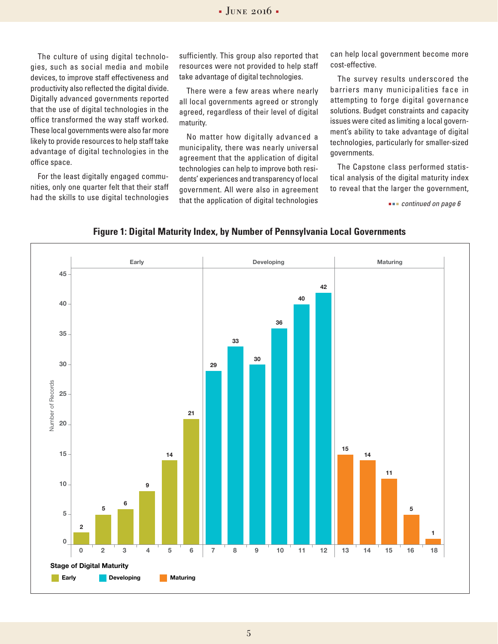The culture of using digital technologies, such as social media and mobile devices, to improve staff effectiveness and productivity also reflected the digital divide. Digitally advanced governments reported that the use of digital technologies in the office transformed the way staff worked. These local governments were also far more likely to provide resources to help staff take advantage of digital technologies in the office space.

For the least digitally engaged communities, only one quarter felt that their staff had the skills to use digital technologies

sufficiently. This group also reported that resources were not provided to help staff take advantage of digital technologies.

There were a few areas where nearly all local governments agreed or strongly agreed, regardless of their level of digital maturity.

No matter how digitally advanced a municipality, there was nearly universal agreement that the application of digital technologies can help to improve both residents' experiences and transparency of local government. All were also in agreement that the application of digital technologies

can help local government become more cost-effective.

The survey results underscored the barriers many municipalities face in attempting to forge digital governance solutions. Budget constraints and capacity issues were cited as limiting a local government's ability to take advantage of digital technologies, particularly for smaller-sized governments.

The Capstone class performed statistical analysis of the digital maturity index to reveal that the larger the government,

 *continued on page 6*



#### **Figure 1: Digital Maturity Index, by Number of Pennsylvania Local Governments**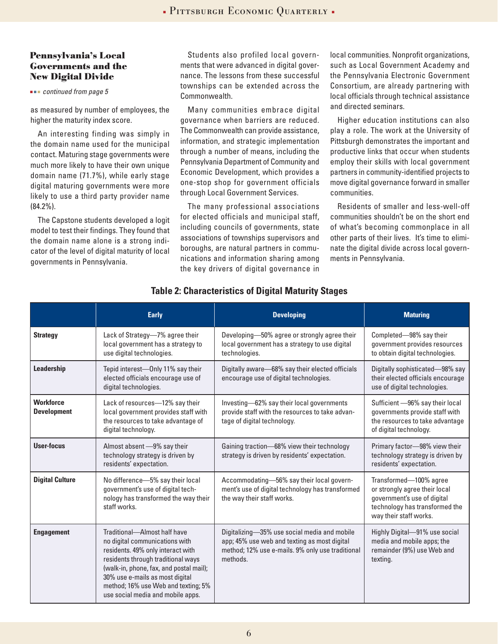#### **Pennsylvania's Local Governments and the New Digital Divide**

 *continued from page 5*

as measured by number of employees, the higher the maturity index score.

An interesting finding was simply in the domain name used for the municipal contact. Maturing stage governments were much more likely to have their own unique domain name (71.7%), while early stage digital maturing governments were more likely to use a third party provider name (84.2%).

The Capstone students developed a logit model to test their findings. They found that the domain name alone is a strong indicator of the level of digital maturity of local governments in Pennsylvania.

Students also profiled local governments that were advanced in digital governance. The lessons from these successful townships can be extended across the Commonwealth.

Many communities embrace digital governance when barriers are reduced. The Commonwealth can provide assistance, information, and strategic implementation through a number of means, including the Pennsylvania Department of Community and Economic Development, which provides a one-stop shop for government officials through Local Government Services.

The many professional associations for elected officials and municipal staff, including councils of governments, state associations of townships supervisors and boroughs, are natural partners in communications and information sharing among the key drivers of digital governance in local communities. Nonprofit organizations, such as Local Government Academy and the Pennsylvania Electronic Government Consortium, are already partnering with local officials through technical assistance and directed seminars.

Higher education institutions can also play a role. The work at the University of Pittsburgh demonstrates the important and productive links that occur when students employ their skills with local government partners in community-identified projects to move digital governance forward in smaller communities.

Residents of smaller and less-well-off communities shouldn't be on the short end of what's becoming commonplace in all other parts of their lives. It's time to eliminate the digital divide across local governments in Pennsylvania.

|                                        | <b>Early</b>                                                                                                                                                                                                                                                                                        | <b>Developing</b>                                                                                                                                            | <b>Maturing</b>                                                                                                                                    |
|----------------------------------------|-----------------------------------------------------------------------------------------------------------------------------------------------------------------------------------------------------------------------------------------------------------------------------------------------------|--------------------------------------------------------------------------------------------------------------------------------------------------------------|----------------------------------------------------------------------------------------------------------------------------------------------------|
| <b>Strategy</b>                        | Lack of Strategy-7% agree their<br>local government has a strategy to<br>use digital technologies.                                                                                                                                                                                                  | Developing-50% agree or strongly agree their<br>local government has a strategy to use digital<br>technologies.                                              | Completed-98% say their<br>government provides resources<br>to obtain digital technologies.                                                        |
| Leadership                             | Tepid interest-Only 11% say their<br>elected officials encourage use of<br>digital technologies.                                                                                                                                                                                                    | Digitally aware-68% say their elected officials<br>encourage use of digital technologies.                                                                    | Digitally sophisticated-98% say<br>their elected officials encourage<br>use of digital technologies.                                               |
| <b>Workforce</b><br><b>Development</b> | Lack of resources-12% say their<br>local government provides staff with<br>the resources to take advantage of<br>digital technology.                                                                                                                                                                | Investing-62% say their local governments<br>provide staff with the resources to take advan-<br>tage of digital technology.                                  | Sufficient -96% say their local<br>governments provide staff with<br>the resources to take advantage<br>of digital technology.                     |
| User-focus                             | Almost absent -9% say their<br>technology strategy is driven by<br>residents' expectation.                                                                                                                                                                                                          | Gaining traction-68% view their technology<br>strategy is driven by residents' expectation.                                                                  | Primary factor-98% view their<br>technology strategy is driven by<br>residents' expectation.                                                       |
| <b>Digital Culture</b>                 | No difference-5% say their local<br>government's use of digital tech-<br>nology has transformed the way their<br>staff works.                                                                                                                                                                       | Accommodating-56% say their local govern-<br>ment's use of digital technology has transformed<br>the way their staff works.                                  | Transformed-100% agree<br>or strongly agree their local<br>government's use of digital<br>technology has transformed the<br>way their staff works. |
| <b>Engagement</b>                      | Traditional-Almost half have<br>no digital communications with<br>residents. 49% only interact with<br>residents through traditional ways<br>(walk-in, phone, fax, and postal mail);<br>30% use e-mails as most digital<br>method; 16% use Web and texting; 5%<br>use social media and mobile apps. | Digitalizing-35% use social media and mobile<br>app; 45% use web and texting as most digital<br>method; 12% use e-mails. 9% only use traditional<br>methods. | Highly Digital-91% use social<br>media and mobile apps; the<br>remainder (9%) use Web and<br>texting.                                              |

### **Table 2: Characteristics of Digital Maturity Stages**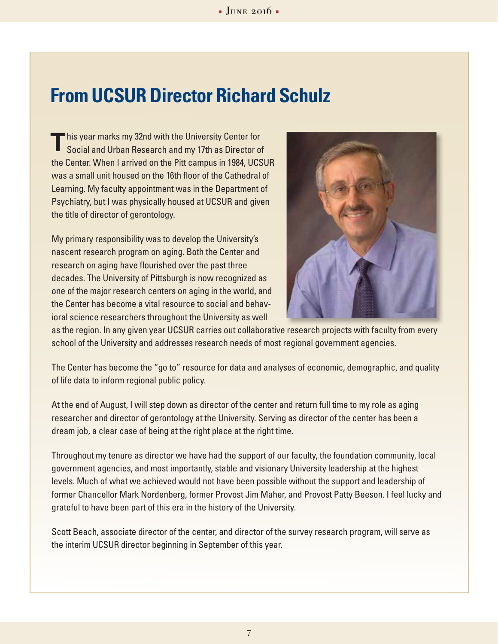# **From UCSUR Director Richard Schulz**

his year marks my 32nd with the University Center for Social and Urban Research and my 17th as Director of the Center. When I arrived on the Pitt campus in 1984, UCSUR was a small unit housed on the 16th floor of the Cathedral of Learning. My faculty appointment was in the Department of Psychiatry, but I was physically housed at UCSUR and given the title of director of gerontology. **T**

My primary responsibility was to develop the University's nascent research program on aging. Both the Center and research on aging have flourished over the past three decades. The University of Pittsburgh is now recognized as one of the major research centers on aging in the world, and the Center has become a vital resource to social and behavioral science researchers throughout the University as well



as the region. In any given year UCSUR carries out collaborative research projects with faculty from every school of the University and addresses research needs of most regional government agencies.

The Center has become the "go to" resource for data and analyses of economic, demographic, and quality of life data to inform regional public policy.

At the end of August, I will step down as director of the center and return full time to my role as aging researcher and director of gerontology at the University. Serving as director of the center has been a dream job, a clear case of being at the right place at the right time.

Throughout my tenure as director we have had the support of our faculty, the foundation community, local government agencies, and most importantly, stable and visionary University leadership at the highest levels. Much of what we achieved would not have been possible without the support and leadership of former Chancellor Mark Nordenberg, former Provost Jim Maher, and Provost Patty Beeson. I feel lucky and grateful to have been part of this era in the history of the University.

Scott Beach, associate director of the center, and director of the survey research program, will serve as the interim UCSUR director beginning in September of this year.